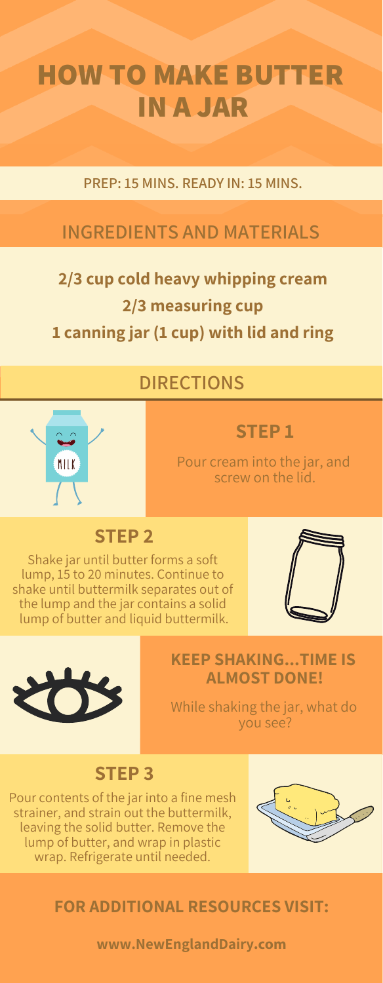## **HOW TO MAKE BUTTER IN A JAR**

#### **PREP: 15 MINS. READY IN: 15 MINS.**

### **INGREDIENTS AND MATERIALS**

## **2/3 cup cold heavy whipping cream 2/3 measuring cup 1 canning jar (1 cup) with lid and ring**

#### **DIRECTIONS**



#### **STEP 1**

Pour cream into the jar, and screw on the lid.

#### **STEP 2**

Shake jar until butter forms a soft lump, 15 to 20 minutes. Continue to shake until buttermilk separates out of the lump and the jar contains a solid lump of butter and liquid buttermilk.





#### **KEEP SHAKING...TIME IS ALMOST DONE!**

While shaking the jar, what do you see?

#### **STEP 3**

Pour contents of the jar into a fine mesh strainer, and strain out the buttermilk, leaving the solid butter. Remove the lump of butter, and wrap in plastic wrap. Refrigerate until needed.



#### **FOR ADDITIONAL RESOURCES VISIT:**

**[www.NewEnglandDairy](www.newenglanddairy.com).com**